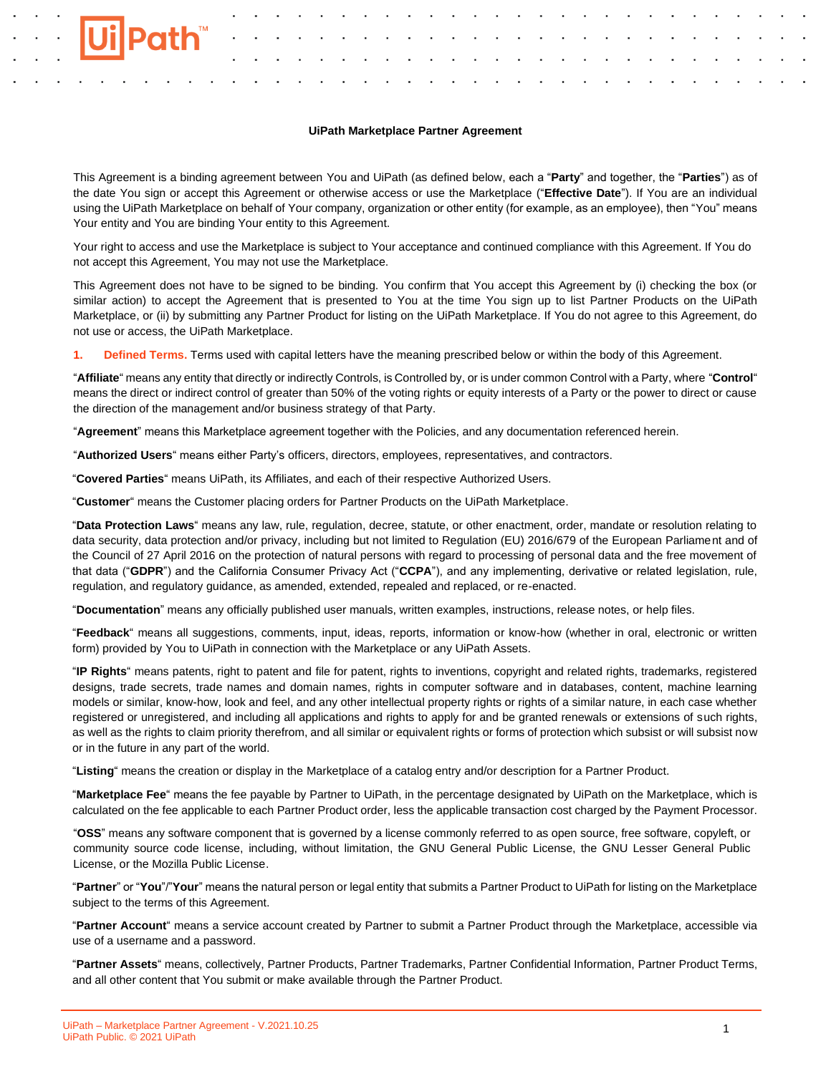#### **UiPath Marketplace Partner Agreement**

This Agreement is a binding agreement between You and UiPath (as defined below, each a "**Party**" and together, the "**Parties**") as of the date You sign or accept this Agreement or otherwise access or use the Marketplace ("**Effective Date**"). If You are an individual using the UiPath Marketplace on behalf of Your company, organization or other entity (for example, as an employee), then "You" means Your entity and You are binding Your entity to this Agreement.

Your right to access and use the Marketplace is subject to Your acceptance and continued compliance with this Agreement. If You do not accept this Agreement, You may not use the Marketplace.

This Agreement does not have to be signed to be binding. You confirm that You accept this Agreement by (i) checking the box (or similar action) to accept the Agreement that is presented to You at the time You sign up to list Partner Products on the UiPath Marketplace, or (ii) by submitting any Partner Product for listing on the UiPath Marketplace. If You do not agree to this Agreement, do not use or access, the UiPath Marketplace.

**1. Defined Terms.** Terms used with capital letters have the meaning prescribed below or within the body of this Agreement.

"**Affiliate**" means any entity that directly or indirectly Controls, is Controlled by, or is under common Control with a Party, where "**Control**" means the direct or indirect control of greater than 50% of the voting rights or equity interests of a Party or the power to direct or cause the direction of the management and/or business strategy of that Party.

"**Agreement**" means this Marketplace agreement together with the Policies, and any documentation referenced herein.

"**Authorized Users**" means either Party's officers, directors, employees, representatives, and contractors.

"**Covered Parties**" means UiPath, its Affiliates, and each of their respective Authorized Users.

"**Customer**" means the Customer placing orders for Partner Products on the UiPath Marketplace.

"**Data Protection Laws**" means any law, rule, regulation, decree, statute, or other enactment, order, mandate or resolution relating to data security, data protection and/or privacy, including but not limited to Regulation (EU) 2016/679 of the European Parliament and of the Council of 27 April 2016 on the protection of natural persons with regard to processing of personal data and the free movement of that data ("**GDPR**") and the California Consumer Privacy Act ("**CCPA**"), and any implementing, derivative or related legislation, rule, regulation, and regulatory guidance, as amended, extended, repealed and replaced, or re-enacted.

"**Documentation**" means any officially published user manuals, written examples, instructions, release notes, or help files.

"**Feedback**" means all suggestions, comments, input, ideas, reports, information or know-how (whether in oral, electronic or written form) provided by You to UiPath in connection with the Marketplace or any UiPath Assets.

"**IP Rights**" means patents, right to patent and file for patent, rights to inventions, copyright and related rights, trademarks, registered designs, trade secrets, trade names and domain names, rights in computer software and in databases, content, machine learning models or similar, know-how, look and feel, and any other intellectual property rights or rights of a similar nature, in each case whether registered or unregistered, and including all applications and rights to apply for and be granted renewals or extensions of such rights, as well as the rights to claim priority therefrom, and all similar or equivalent rights or forms of protection which subsist or will subsist now or in the future in any part of the world.

"**Listing**" means the creation or display in the Marketplace of a catalog entry and/or description for a Partner Product.

"**Marketplace Fee**" means the fee payable by Partner to UiPath, in the percentage designated by UiPath on the Marketplace, which is calculated on the fee applicable to each Partner Product order, less the applicable transaction cost charged by the Payment Processor.

"**OSS**" means any software component that is governed by a license commonly referred to as open source, free software, copyleft, or community source code license, including, without limitation, the GNU General Public License, the GNU Lesser General Public License, or the Mozilla Public License.

"**Partner**" or "**You**"/"**Your**" means the natural person or legal entity that submits a Partner Product to UiPath for listing on the Marketplace subject to the terms of this Agreement.

"**Partner Account**" means a service account created by Partner to submit a Partner Product through the Marketplace, accessible via use of a username and a password.

"**Partner Assets**" means, collectively, Partner Products, Partner Trademarks, Partner Confidential Information, Partner Product Terms, and all other content that You submit or make available through the Partner Product.

**Path™**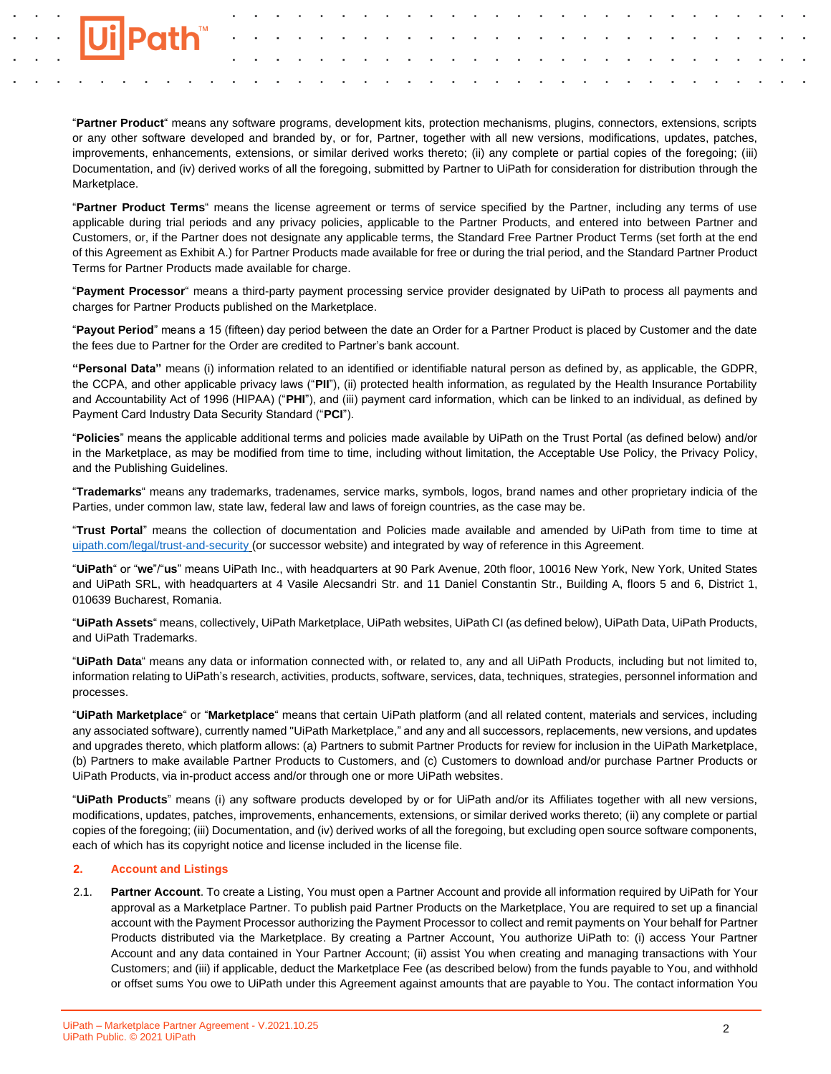

"**Partner Product**" means any software programs, development kits, protection mechanisms, plugins, connectors, extensions, scripts or any other software developed and branded by, or for, Partner, together with all new versions, modifications, updates, patches, improvements, enhancements, extensions, or similar derived works thereto; (ii) any complete or partial copies of the foregoing; (iii) Documentation, and (iv) derived works of all the foregoing, submitted by Partner to UiPath for consideration for distribution through the Marketplace.

"**Partner Product Terms**" means the license agreement or terms of service specified by the Partner, including any terms of use applicable during trial periods and any privacy policies, applicable to the Partner Products, and entered into between Partner and Customers, or, if the Partner does not designate any applicable terms, the Standard Free Partner Product Terms (set forth at the end of this Agreement as Exhibit A.) for Partner Products made available for free or during the trial period, and the Standard Partner Product Terms for Partner Products made available for charge.

"**Payment Processor**" means a third-party payment processing service provider designated by UiPath to process all payments and charges for Partner Products published on the Marketplace.

"**Payout Period**" means a 15 (fifteen) day period between the date an Order for a Partner Product is placed by Customer and the date the fees due to Partner for the Order are credited to Partner's bank account.

**"Personal Data"** means (i) information related to an identified or identifiable natural person as defined by, as applicable, the GDPR, the CCPA, and other applicable privacy laws ("**PII**"), (ii) protected health information, as regulated by the Health Insurance Portability and Accountability Act of 1996 (HIPAA) ("**PHI**"), and (iii) payment card information, which can be linked to an individual, as defined by Payment Card Industry Data Security Standard ("**PCI**").

"**Policies**" means the applicable additional terms and policies made available by UiPath on the Trust Portal (as defined below) and/or in the Marketplace, as may be modified from time to time, including without limitation, the Acceptable Use Policy, the Privacy Policy, and the Publishing Guidelines.

"**Trademarks**" means any trademarks, tradenames, service marks, symbols, logos, brand names and other proprietary indicia of the Parties, under common law, state law, federal law and laws of foreign countries, as the case may be.

"**Trust Portal**" means the collection of documentation and Policies made available and amended by UiPath from time to time at [uipath.com/legal/trust-and-security](http://uipath.com/legal/trust-and-security) (or successor website) and integrated by way of reference in this Agreement.

"**UiPath**" or "**we**"/"**us**" means UiPath Inc., with headquarters at 90 Park Avenue, 20th floor, 10016 New York, New York, United States and UiPath SRL, with headquarters at 4 Vasile Alecsandri Str. and 11 Daniel Constantin Str., Building A, floors 5 and 6, District 1, 010639 Bucharest, Romania.

"**UiPath Assets**" means, collectively, UiPath Marketplace, UiPath websites, UiPath CI (as defined below), UiPath Data, UiPath Products, and UiPath Trademarks.

"**UiPath Data**" means any data or information connected with, or related to, any and all UiPath Products, including but not limited to, information relating to UiPath's research, activities, products, software, services, data, techniques, strategies, personnel information and processes.

"**UiPath Marketplace**" or "**Marketplace**" means that certain UiPath platform (and all related content, materials and services, including any associated software), currently named "UiPath Marketplace," and any and all successors, replacements, new versions, and updates and upgrades thereto, which platform allows: (a) Partners to submit Partner Products for review for inclusion in the UiPath Marketplace, (b) Partners to make available Partner Products to Customers, and (c) Customers to download and/or purchase Partner Products or UiPath Products, via in-product access and/or through one or more UiPath websites.

"**UiPath Products**" means (i) any software products developed by or for UiPath and/or its Affiliates together with all new versions, modifications, updates, patches, improvements, enhancements, extensions, or similar derived works thereto; (ii) any complete or partial copies of the foregoing; (iii) Documentation, and (iv) derived works of all the foregoing, but excluding open source software components, each of which has its copyright notice and license included in the license file.

## **2. Account and Listings**

2.1. **Partner Account**. To create a Listing, You must open a Partner Account and provide all information required by UiPath for Your approval as a Marketplace Partner. To publish paid Partner Products on the Marketplace, You are required to set up a financial account with the Payment Processor authorizing the Payment Processor to collect and remit payments on Your behalf for Partner Products distributed via the Marketplace. By creating a Partner Account, You authorize UiPath to: (i) access Your Partner Account and any data contained in Your Partner Account; (ii) assist You when creating and managing transactions with Your Customers; and (iii) if applicable, deduct the Marketplace Fee (as described below) from the funds payable to You, and withhold or offset sums You owe to UiPath under this Agreement against amounts that are payable to You. The contact information You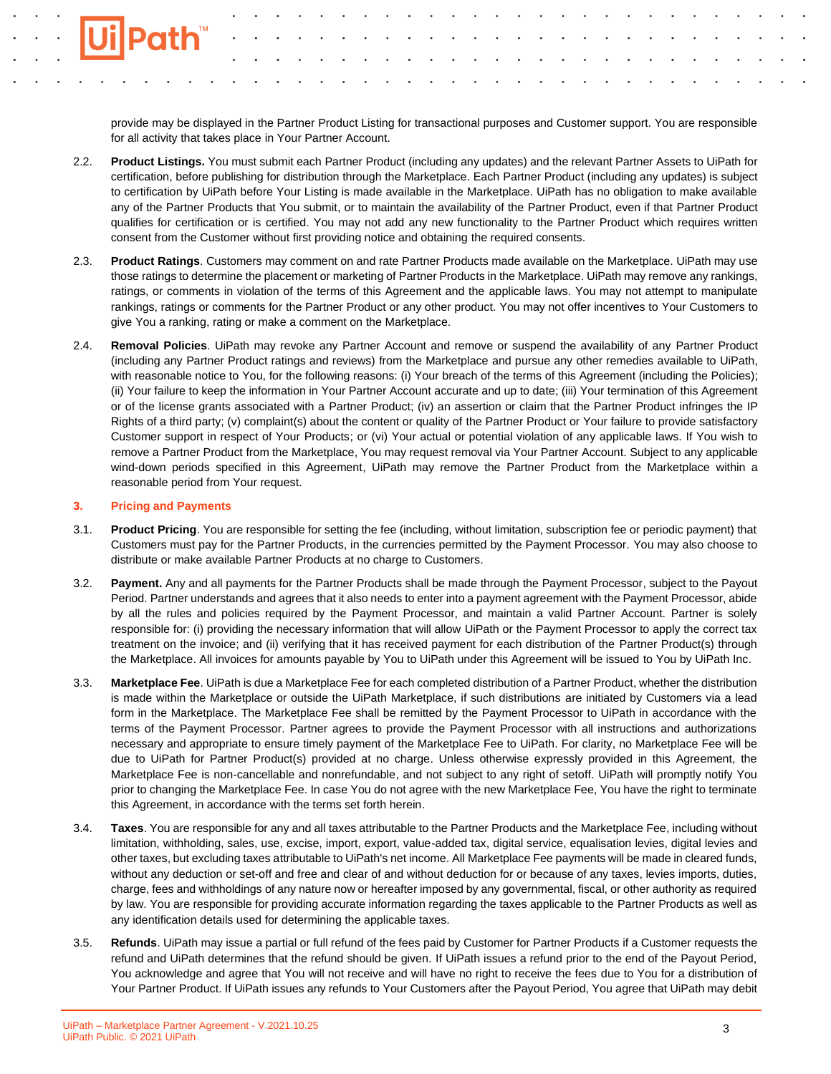provide may be displayed in the Partner Product Listing for transactional purposes and Customer support. You are responsible for all activity that takes place in Your Partner Account.

- 2.2. **Product Listings.** You must submit each Partner Product (including any updates) and the relevant Partner Assets to UiPath for certification, before publishing for distribution through the Marketplace. Each Partner Product (including any updates) is subject to certification by UiPath before Your Listing is made available in the Marketplace. UiPath has no obligation to make available any of the Partner Products that You submit, or to maintain the availability of the Partner Product, even if that Partner Product qualifies for certification or is certified. You may not add any new functionality to the Partner Product which requires written consent from the Customer without first providing notice and obtaining the required consents.
- 2.3. **Product Ratings**. Customers may comment on and rate Partner Products made available on the Marketplace. UiPath may use those ratings to determine the placement or marketing of Partner Products in the Marketplace. UiPath may remove any rankings, ratings, or comments in violation of the terms of this Agreement and the applicable laws. You may not attempt to manipulate rankings, ratings or comments for the Partner Product or any other product. You may not offer incentives to Your Customers to give You a ranking, rating or make a comment on the Marketplace.
- 2.4. **Removal Policies**. UiPath may revoke any Partner Account and remove or suspend the availability of any Partner Product (including any Partner Product ratings and reviews) from the Marketplace and pursue any other remedies available to UiPath, with reasonable notice to You, for the following reasons: (i) Your breach of the terms of this Agreement (including the Policies); (ii) Your failure to keep the information in Your Partner Account accurate and up to date; (iii) Your termination of this Agreement or of the license grants associated with a Partner Product; (iv) an assertion or claim that the Partner Product infringes the IP Rights of a third party; (v) complaint(s) about the content or quality of the Partner Product or Your failure to provide satisfactory Customer support in respect of Your Products; or (vi) Your actual or potential violation of any applicable laws. If You wish to remove a Partner Product from the Marketplace, You may request removal via Your Partner Account. Subject to any applicable wind-down periods specified in this Agreement, UiPath may remove the Partner Product from the Marketplace within a reasonable period from Your request.

### **3. Pricing and Payments**

- 3.1. **Product Pricing**. You are responsible for setting the fee (including, without limitation, subscription fee or periodic payment) that Customers must pay for the Partner Products, in the currencies permitted by the Payment Processor. You may also choose to distribute or make available Partner Products at no charge to Customers.
- 3.2. **Payment.** Any and all payments for the Partner Products shall be made through the Payment Processor, subject to the Payout Period. Partner understands and agrees that it also needs to enter into a payment agreement with the Payment Processor, abide by all the rules and policies required by the Payment Processor, and maintain a valid Partner Account. Partner is solely responsible for: (i) providing the necessary information that will allow UiPath or the Payment Processor to apply the correct tax treatment on the invoice; and (ii) verifying that it has received payment for each distribution of the Partner Product(s) through the Marketplace. All invoices for amounts payable by You to UiPath under this Agreement will be issued to You by UiPath Inc.
- 3.3. **Marketplace Fee**. UiPath is due a Marketplace Fee for each completed distribution of a Partner Product, whether the distribution is made within the Marketplace or outside the UiPath Marketplace, if such distributions are initiated by Customers via a lead form in the Marketplace. The Marketplace Fee shall be remitted by the Payment Processor to UiPath in accordance with the terms of the Payment Processor. Partner agrees to provide the Payment Processor with all instructions and authorizations necessary and appropriate to ensure timely payment of the Marketplace Fee to UiPath. For clarity, no Marketplace Fee will be due to UiPath for Partner Product(s) provided at no charge. Unless otherwise expressly provided in this Agreement, the Marketplace Fee is non-cancellable and nonrefundable, and not subject to any right of setoff. UiPath will promptly notify You prior to changing the Marketplace Fee. In case You do not agree with the new Marketplace Fee, You have the right to terminate this Agreement, in accordance with the terms set forth herein.
- 3.4. **Taxes**. You are responsible for any and all taxes attributable to the Partner Products and the Marketplace Fee, including without limitation, withholding, sales, use, excise, import, export, value-added tax, digital service, equalisation levies, digital levies and other taxes, but excluding taxes attributable to UiPath's net income. All Marketplace Fee payments will be made in cleared funds, without any deduction or set-off and free and clear of and without deduction for or because of any taxes, levies imports, duties, charge, fees and withholdings of any nature now or hereafter imposed by any governmental, fiscal, or other authority as required by law. You are responsible for providing accurate information regarding the taxes applicable to the Partner Products as well as any identification details used for determining the applicable taxes.
- 3.5. **Refunds**. UiPath may issue a partial or full refund of the fees paid by Customer for Partner Products if a Customer requests the refund and UiPath determines that the refund should be given. If UiPath issues a refund prior to the end of the Payout Period, You acknowledge and agree that You will not receive and will have no right to receive the fees due to You for a distribution of Your Partner Product. If UiPath issues any refunds to Your Customers after the Payout Period, You agree that UiPath may debit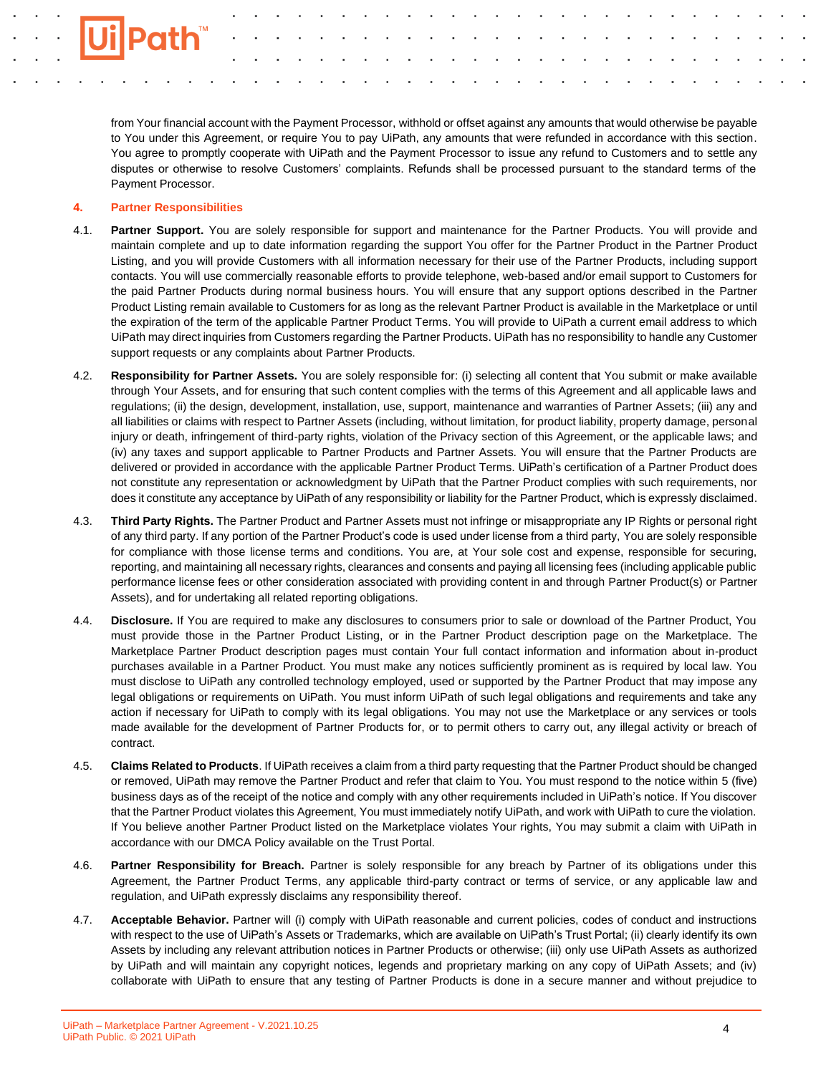from Your financial account with the Payment Processor, withhold or offset against any amounts that would otherwise be payable to You under this Agreement, or require You to pay UiPath, any amounts that were refunded in accordance with this section. You agree to promptly cooperate with UiPath and the Payment Processor to issue any refund to Customers and to settle any disputes or otherwise to resolve Customers' complaints. Refunds shall be processed pursuant to the standard terms of the Payment Processor.

### **4. Partner Responsibilities**

- 4.1. **Partner Support.** You are solely responsible for support and maintenance for the Partner Products. You will provide and maintain complete and up to date information regarding the support You offer for the Partner Product in the Partner Product Listing, and you will provide Customers with all information necessary for their use of the Partner Products, including support contacts. You will use commercially reasonable efforts to provide telephone, web-based and/or email support to Customers for the paid Partner Products during normal business hours. You will ensure that any support options described in the Partner Product Listing remain available to Customers for as long as the relevant Partner Product is available in the Marketplace or until the expiration of the term of the applicable Partner Product Terms. You will provide to UiPath a current email address to which UiPath may direct inquiries from Customers regarding the Partner Products. UiPath has no responsibility to handle any Customer support requests or any complaints about Partner Products.
- 4.2. **Responsibility for Partner Assets.** You are solely responsible for: (i) selecting all content that You submit or make available through Your Assets, and for ensuring that such content complies with the terms of this Agreement and all applicable laws and regulations; (ii) the design, development, installation, use, support, maintenance and warranties of Partner Assets; (iii) any and all liabilities or claims with respect to Partner Assets (including, without limitation, for product liability, property damage, personal injury or death, infringement of third-party rights, violation of the Privacy section of this Agreement, or the applicable laws; and (iv) any taxes and support applicable to Partner Products and Partner Assets. You will ensure that the Partner Products are delivered or provided in accordance with the applicable Partner Product Terms. UiPath's certification of a Partner Product does not constitute any representation or acknowledgment by UiPath that the Partner Product complies with such requirements, nor does it constitute any acceptance by UiPath of any responsibility or liability for the Partner Product, which is expressly disclaimed.
- 4.3. **Third Party Rights.** The Partner Product and Partner Assets must not infringe or misappropriate any IP Rights or personal right of any third party. If any portion of the Partner Product's code is used under license from a third party, You are solely responsible for compliance with those license terms and conditions. You are, at Your sole cost and expense, responsible for securing, reporting, and maintaining all necessary rights, clearances and consents and paying all licensing fees (including applicable public performance license fees or other consideration associated with providing content in and through Partner Product(s) or Partner Assets), and for undertaking all related reporting obligations.
- 4.4. **Disclosure.** If You are required to make any disclosures to consumers prior to sale or download of the Partner Product, You must provide those in the Partner Product Listing, or in the Partner Product description page on the Marketplace. The Marketplace Partner Product description pages must contain Your full contact information and information about in-product purchases available in a Partner Product. You must make any notices sufficiently prominent as is required by local law. You must disclose to UiPath any controlled technology employed, used or supported by the Partner Product that may impose any legal obligations or requirements on UiPath. You must inform UiPath of such legal obligations and requirements and take any action if necessary for UiPath to comply with its legal obligations. You may not use the Marketplace or any services or tools made available for the development of Partner Products for, or to permit others to carry out, any illegal activity or breach of contract.
- 4.5. **Claims Related to Products**. If UiPath receives a claim from a third party requesting that the Partner Product should be changed or removed, UiPath may remove the Partner Product and refer that claim to You. You must respond to the notice within 5 (five) business days as of the receipt of the notice and comply with any other requirements included in UiPath's notice. If You discover that the Partner Product violates this Agreement, You must immediately notify UiPath, and work with UiPath to cure the violation. If You believe another Partner Product listed on the Marketplace violates Your rights, You may submit a claim with UiPath in accordance with our DMCA Policy available on the Trust Portal.
- 4.6. **Partner Responsibility for Breach.** Partner is solely responsible for any breach by Partner of its obligations under this Agreement, the Partner Product Terms, any applicable third-party contract or terms of service, or any applicable law and regulation, and UiPath expressly disclaims any responsibility thereof.
- 4.7. **Acceptable Behavior.** Partner will (i) comply with UiPath reasonable and current policies, codes of conduct and instructions with respect to the use of UiPath's Assets or Trademarks, which are available on UiPath's Trust Portal; (ii) clearly identify its own Assets by including any relevant attribution notices in Partner Products or otherwise; (iii) only use UiPath Assets as authorized by UiPath and will maintain any copyright notices, legends and proprietary marking on any copy of UiPath Assets; and (iv) collaborate with UiPath to ensure that any testing of Partner Products is done in a secure manner and without prejudice to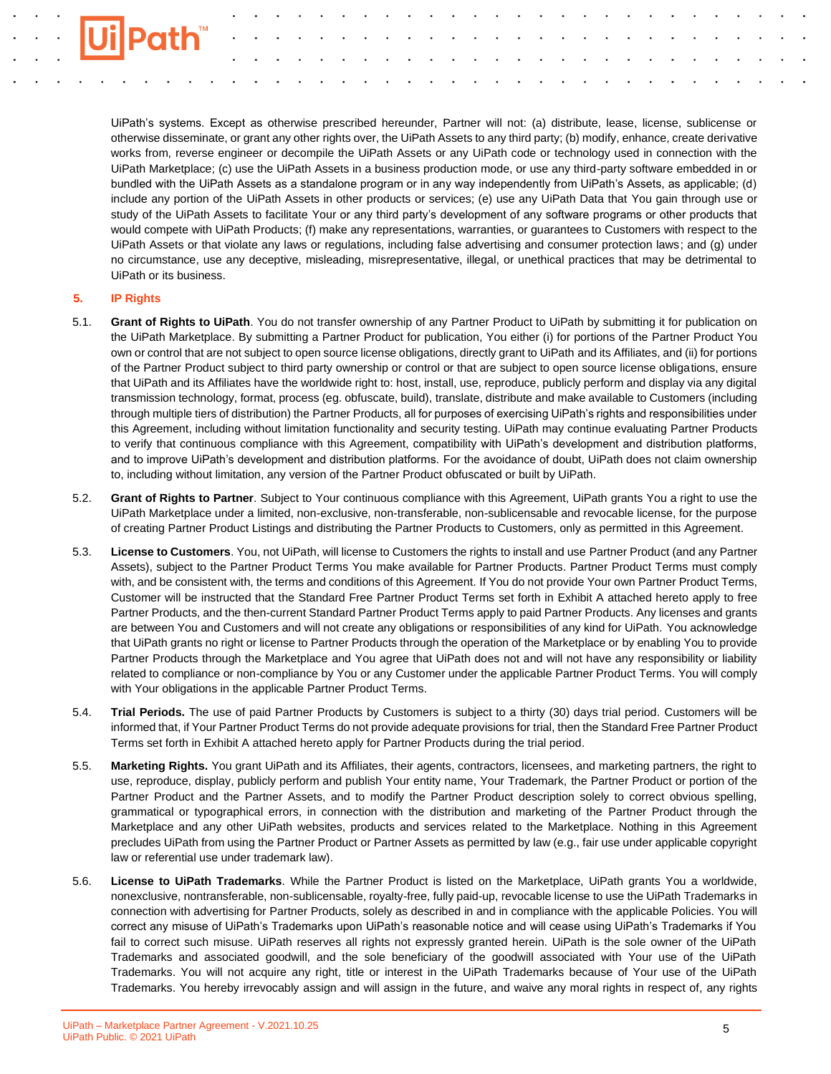

UiPath's systems. Except as otherwise prescribed hereunder, Partner will not: (a) distribute, lease, license, sublicense or otherwise disseminate, or grant any other rights over, the UiPath Assets to any third party; (b) modify, enhance, create derivative works from, reverse engineer or decompile the UiPath Assets or any UiPath code or technology used in connection with the UiPath Marketplace; (c) use the UiPath Assets in a business production mode, or use any third-party software embedded in or bundled with the UiPath Assets as a standalone program or in any way independently from UiPath's Assets, as applicable; (d) include any portion of the UiPath Assets in other products or services; (e) use any UiPath Data that You gain through use or study of the UiPath Assets to facilitate Your or any third party's development of any software programs or other products that would compete with UiPath Products; (f) make any representations, warranties, or guarantees to Customers with respect to the UiPath Assets or that violate any laws or regulations, including false advertising and consumer protection laws; and (g) under no circumstance, use any deceptive, misleading, misrepresentative, illegal, or unethical practices that may be detrimental to UiPath or its business.

### **5. IP Rights**

- 5.1. **Grant of Rights to UiPath**. You do not transfer ownership of any Partner Product to UiPath by submitting it for publication on the UiPath Marketplace. By submitting a Partner Product for publication, You either (i) for portions of the Partner Product You own or control that are not subject to open source license obligations, directly grant to UiPath and its Affiliates, and (ii) for portions of the Partner Product subject to third party ownership or control or that are subject to open source license obligations, ensure that UiPath and its Affiliates have the worldwide right to: host, install, use, reproduce, publicly perform and display via any digital transmission technology, format, process (eg. obfuscate, build), translate, distribute and make available to Customers (including through multiple tiers of distribution) the Partner Products, all for purposes of exercising UiPath's rights and responsibilities under this Agreement, including without limitation functionality and security testing. UiPath may continue evaluating Partner Products to verify that continuous compliance with this Agreement, compatibility with UiPath's development and distribution platforms, and to improve UiPath's development and distribution platforms. For the avoidance of doubt, UiPath does not claim ownership to, including without limitation, any version of the Partner Product obfuscated or built by UiPath.
- 5.2. **Grant of Rights to Partner**. Subject to Your continuous compliance with this Agreement, UiPath grants You a right to use the UiPath Marketplace under a limited, non-exclusive, non-transferable, non-sublicensable and revocable license, for the purpose of creating Partner Product Listings and distributing the Partner Products to Customers, only as permitted in this Agreement.
- 5.3. **License to Customers**. You, not UiPath, will license to Customers the rights to install and use Partner Product (and any Partner Assets), subject to the Partner Product Terms You make available for Partner Products. Partner Product Terms must comply with, and be consistent with, the terms and conditions of this Agreement. If You do not provide Your own Partner Product Terms, Customer will be instructed that the Standard Free Partner Product Terms set forth in Exhibit A attached hereto apply to free Partner Products, and the then-current Standard Partner Product Terms apply to paid Partner Products. Any licenses and grants are between You and Customers and will not create any obligations or responsibilities of any kind for UiPath. You acknowledge that UiPath grants no right or license to Partner Products through the operation of the Marketplace or by enabling You to provide Partner Products through the Marketplace and You agree that UiPath does not and will not have any responsibility or liability related to compliance or non-compliance by You or any Customer under the applicable Partner Product Terms. You will comply with Your obligations in the applicable Partner Product Terms.
- 5.4. **Trial Periods.** The use of paid Partner Products by Customers is subject to a thirty (30) days trial period. Customers will be informed that, if Your Partner Product Terms do not provide adequate provisions for trial, then the Standard Free Partner Product Terms set forth in Exhibit A attached hereto apply for Partner Products during the trial period.
- 5.5. **Marketing Rights.** You grant UiPath and its Affiliates, their agents, contractors, licensees, and marketing partners, the right to use, reproduce, display, publicly perform and publish Your entity name, Your Trademark, the Partner Product or portion of the Partner Product and the Partner Assets, and to modify the Partner Product description solely to correct obvious spelling, grammatical or typographical errors, in connection with the distribution and marketing of the Partner Product through the Marketplace and any other UiPath websites, products and services related to the Marketplace. Nothing in this Agreement precludes UiPath from using the Partner Product or Partner Assets as permitted by law (e.g., fair use under applicable copyright law or referential use under trademark law).
- 5.6. **License to UiPath Trademarks**. While the Partner Product is listed on the Marketplace, UiPath grants You a worldwide, nonexclusive, nontransferable, non-sublicensable, royalty-free, fully paid-up, revocable license to use the UiPath Trademarks in connection with advertising for Partner Products, solely as described in and in compliance with the applicable Policies. You will correct any misuse of UiPath's Trademarks upon UiPath's reasonable notice and will cease using UiPath's Trademarks if You fail to correct such misuse. UiPath reserves all rights not expressly granted herein. UiPath is the sole owner of the UiPath Trademarks and associated goodwill, and the sole beneficiary of the goodwill associated with Your use of the UiPath Trademarks. You will not acquire any right, title or interest in the UiPath Trademarks because of Your use of the UiPath Trademarks. You hereby irrevocably assign and will assign in the future, and waive any moral rights in respect of, any rights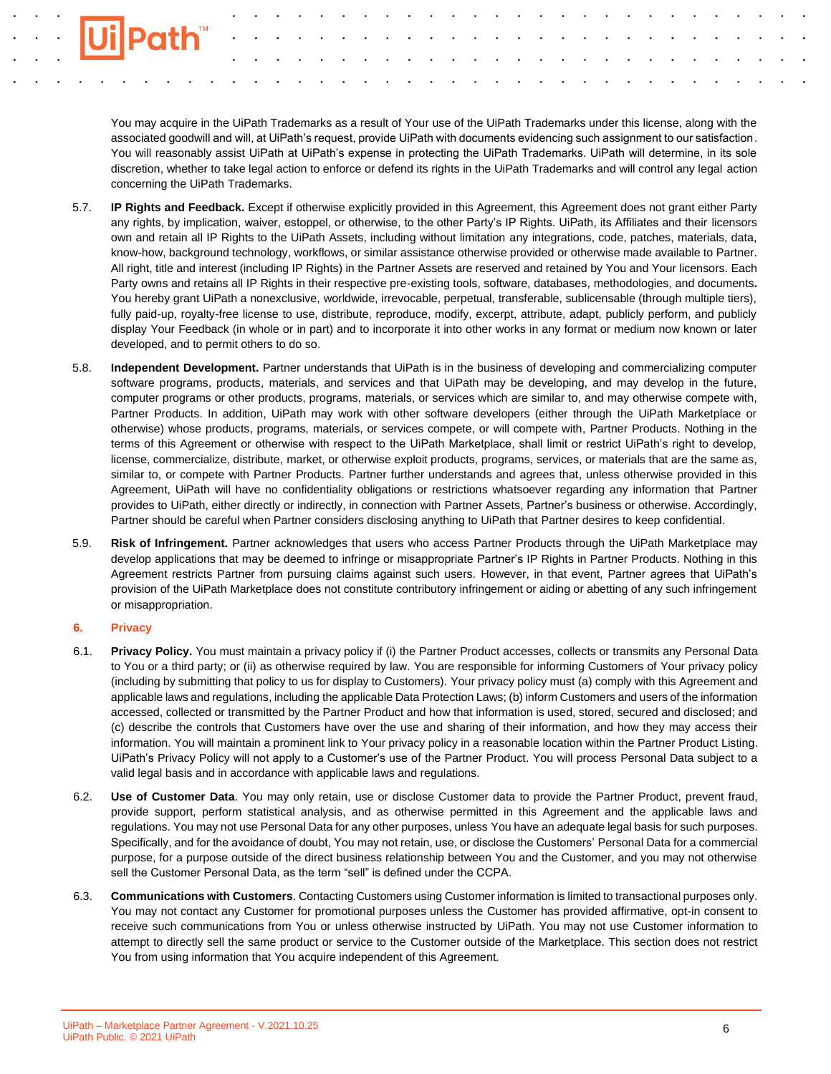You may acquire in the UiPath Trademarks as a result of Your use of the UiPath Trademarks under this license, along with the associated goodwill and will, at UiPath's request, provide UiPath with documents evidencing such assignment to our satisfaction. You will reasonably assist UiPath at UiPath's expense in protecting the UiPath Trademarks. UiPath will determine, in its sole discretion, whether to take legal action to enforce or defend its rights in the UiPath Trademarks and will control any legal action concerning the UiPath Trademarks.

- 5.7. **IP Rights and Feedback.** Except if otherwise explicitly provided in this Agreement, this Agreement does not grant either Party any rights, by implication, waiver, estoppel, or otherwise, to the other Party's IP Rights. UiPath, its Affiliates and their licensors own and retain all IP Rights to the UiPath Assets, including without limitation any integrations, code, patches, materials, data, know-how, background technology, workflows, or similar assistance otherwise provided or otherwise made available to Partner. All right, title and interest (including IP Rights) in the Partner Assets are reserved and retained by You and Your licensors. Each Party owns and retains all IP Rights in their respective pre-existing tools, software, databases, methodologies, and documents**.** You hereby grant UiPath a nonexclusive, worldwide, irrevocable, perpetual, transferable, sublicensable (through multiple tiers), fully paid-up, royalty-free license to use, distribute, reproduce, modify, excerpt, attribute, adapt, publicly perform, and publicly display Your Feedback (in whole or in part) and to incorporate it into other works in any format or medium now known or later developed, and to permit others to do so.
- 5.8. **Independent Development.** Partner understands that UiPath is in the business of developing and commercializing computer software programs, products, materials, and services and that UiPath may be developing, and may develop in the future, computer programs or other products, programs, materials, or services which are similar to, and may otherwise compete with, Partner Products. In addition, UiPath may work with other software developers (either through the UiPath Marketplace or otherwise) whose products, programs, materials, or services compete, or will compete with, Partner Products. Nothing in the terms of this Agreement or otherwise with respect to the UiPath Marketplace, shall limit or restrict UiPath's right to develop, license, commercialize, distribute, market, or otherwise exploit products, programs, services, or materials that are the same as, similar to, or compete with Partner Products. Partner further understands and agrees that, unless otherwise provided in this Agreement, UiPath will have no confidentiality obligations or restrictions whatsoever regarding any information that Partner provides to UiPath, either directly or indirectly, in connection with Partner Assets, Partner's business or otherwise. Accordingly, Partner should be careful when Partner considers disclosing anything to UiPath that Partner desires to keep confidential.
- 5.9. **Risk of Infringement.** Partner acknowledges that users who access Partner Products through the UiPath Marketplace may develop applications that may be deemed to infringe or misappropriate Partner's IP Rights in Partner Products. Nothing in this Agreement restricts Partner from pursuing claims against such users. However, in that event, Partner agrees that UiPath's provision of the UiPath Marketplace does not constitute contributory infringement or aiding or abetting of any such infringement or misappropriation.

## **6. Privacy**

- 6.1. **Privacy Policy.** You must maintain a privacy policy if (i) the Partner Product accesses, collects or transmits any Personal Data to You or a third party; or (ii) as otherwise required by law. You are responsible for informing Customers of Your privacy policy (including by submitting that policy to us for display to Customers). Your privacy policy must (a) comply with this Agreement and applicable laws and regulations, including the applicable Data Protection Laws; (b) inform Customers and users of the information accessed, collected or transmitted by the Partner Product and how that information is used, stored, secured and disclosed; and (c) describe the controls that Customers have over the use and sharing of their information, and how they may access their information. You will maintain a prominent link to Your privacy policy in a reasonable location within the Partner Product Listing. UiPath's Privacy Policy will not apply to a Customer's use of the Partner Product. You will process Personal Data subject to a valid legal basis and in accordance with applicable laws and regulations.
- 6.2. **Use of Customer Data**. You may only retain, use or disclose Customer data to provide the Partner Product, prevent fraud, provide support, perform statistical analysis, and as otherwise permitted in this Agreement and the applicable laws and regulations. You may not use Personal Data for any other purposes, unless You have an adequate legal basis for such purposes. Specifically, and for the avoidance of doubt, You may not retain, use, or disclose the Customers' Personal Data for a commercial purpose, for a purpose outside of the direct business relationship between You and the Customer, and you may not otherwise sell the Customer Personal Data, as the term "sell" is defined under the CCPA.
- 6.3. **Communications with Customers**. Contacting Customers using Customer information is limited to transactional purposes only. You may not contact any Customer for promotional purposes unless the Customer has provided affirmative, opt-in consent to receive such communications from You or unless otherwise instructed by UiPath. You may not use Customer information to attempt to directly sell the same product or service to the Customer outside of the Marketplace. This section does not restrict You from using information that You acquire independent of this Agreement.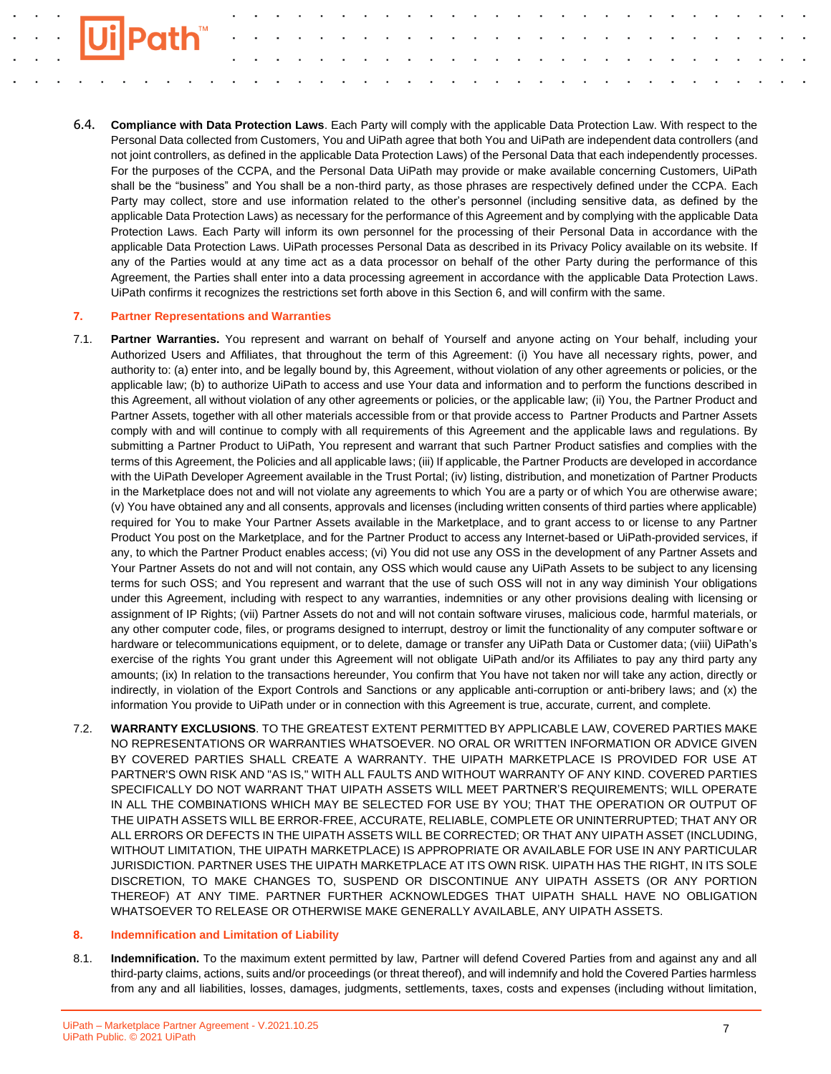

6.4. **Compliance with Data Protection Laws**. Each Party will comply with the applicable Data Protection Law. With respect to the Personal Data collected from Customers, You and UiPath agree that both You and UiPath are independent data controllers (and not joint controllers, as defined in the applicable Data Protection Laws) of the Personal Data that each independently processes. For the purposes of the CCPA, and the Personal Data UiPath may provide or make available concerning Customers, UiPath shall be the "business" and You shall be a non-third party, as those phrases are respectively defined under the CCPA. Each Party may collect, store and use information related to the other's personnel (including sensitive data, as defined by the applicable Data Protection Laws) as necessary for the performance of this Agreement and by complying with the applicable Data Protection Laws. Each Party will inform its own personnel for the processing of their Personal Data in accordance with the applicable Data Protection Laws. UiPath processes Personal Data as described in its Privacy Policy available on its website. If any of the Parties would at any time act as a data processor on behalf of the other Party during the performance of this Agreement, the Parties shall enter into a data processing agreement in accordance with the applicable Data Protection Laws. UiPath confirms it recognizes the restrictions set forth above in this Section 6, and will confirm with the same.

### **7. Partner Representations and Warranties**

- 7.1. **Partner Warranties.** You represent and warrant on behalf of Yourself and anyone acting on Your behalf, including your Authorized Users and Affiliates, that throughout the term of this Agreement: (i) You have all necessary rights, power, and authority to: (a) enter into, and be legally bound by, this Agreement, without violation of any other agreements or policies, or the applicable law; (b) to authorize UiPath to access and use Your data and information and to perform the functions described in this Agreement, all without violation of any other agreements or policies, or the applicable law; (ii) You, the Partner Product and Partner Assets, together with all other materials accessible from or that provide access to Partner Products and Partner Assets comply with and will continue to comply with all requirements of this Agreement and the applicable laws and regulations. By submitting a Partner Product to UiPath, You represent and warrant that such Partner Product satisfies and complies with the terms of this Agreement, the Policies and all applicable laws; (iii) If applicable, the Partner Products are developed in accordance with the UiPath Developer Agreement available in the Trust Portal; (iv) listing, distribution, and monetization of Partner Products in the Marketplace does not and will not violate any agreements to which You are a party or of which You are otherwise aware; (v) You have obtained any and all consents, approvals and licenses (including written consents of third parties where applicable) required for You to make Your Partner Assets available in the Marketplace, and to grant access to or license to any Partner Product You post on the Marketplace, and for the Partner Product to access any Internet-based or UiPath-provided services, if any, to which the Partner Product enables access; (vi) You did not use any OSS in the development of any Partner Assets and Your Partner Assets do not and will not contain, any OSS which would cause any UiPath Assets to be subject to any licensing terms for such OSS; and You represent and warrant that the use of such OSS will not in any way diminish Your obligations under this Agreement, including with respect to any warranties, indemnities or any other provisions dealing with licensing or assignment of IP Rights; (vii) Partner Assets do not and will not contain software viruses, malicious code, harmful materials, or any other computer code, files, or programs designed to interrupt, destroy or limit the functionality of any computer software or hardware or telecommunications equipment, or to delete, damage or transfer any UiPath Data or Customer data; (viii) UiPath's exercise of the rights You grant under this Agreement will not obligate UiPath and/or its Affiliates to pay any third party any amounts; (ix) In relation to the transactions hereunder, You confirm that You have not taken nor will take any action, directly or indirectly, in violation of the Export Controls and Sanctions or any applicable anti-corruption or anti-bribery laws; and (x) the information You provide to UiPath under or in connection with this Agreement is true, accurate, current, and complete.
- 7.2. **WARRANTY EXCLUSIONS**. TO THE GREATEST EXTENT PERMITTED BY APPLICABLE LAW, COVERED PARTIES MAKE NO REPRESENTATIONS OR WARRANTIES WHATSOEVER. NO ORAL OR WRITTEN INFORMATION OR ADVICE GIVEN BY COVERED PARTIES SHALL CREATE A WARRANTY. THE UIPATH MARKETPLACE IS PROVIDED FOR USE AT PARTNER'S OWN RISK AND "AS IS," WITH ALL FAULTS AND WITHOUT WARRANTY OF ANY KIND. COVERED PARTIES SPECIFICALLY DO NOT WARRANT THAT UIPATH ASSETS WILL MEET PARTNER'S REQUIREMENTS; WILL OPERATE IN ALL THE COMBINATIONS WHICH MAY BE SELECTED FOR USE BY YOU; THAT THE OPERATION OR OUTPUT OF THE UIPATH ASSETS WILL BE ERROR-FREE, ACCURATE, RELIABLE, COMPLETE OR UNINTERRUPTED; THAT ANY OR ALL ERRORS OR DEFECTS IN THE UIPATH ASSETS WILL BE CORRECTED; OR THAT ANY UIPATH ASSET (INCLUDING, WITHOUT LIMITATION, THE UIPATH MARKETPLACE) IS APPROPRIATE OR AVAILABLE FOR USE IN ANY PARTICULAR JURISDICTION. PARTNER USES THE UIPATH MARKETPLACE AT ITS OWN RISK. UIPATH HAS THE RIGHT, IN ITS SOLE DISCRETION, TO MAKE CHANGES TO, SUSPEND OR DISCONTINUE ANY UIPATH ASSETS (OR ANY PORTION THEREOF) AT ANY TIME. PARTNER FURTHER ACKNOWLEDGES THAT UIPATH SHALL HAVE NO OBLIGATION WHATSOEVER TO RELEASE OR OTHERWISE MAKE GENERALLY AVAILABLE, ANY UIPATH ASSETS.

#### **8. Indemnification and Limitation of Liability**

8.1. **Indemnification.** To the maximum extent permitted by law, Partner will defend Covered Parties from and against any and all third-party claims, actions, suits and/or proceedings (or threat thereof), and will indemnify and hold the Covered Parties harmless from any and all liabilities, losses, damages, judgments, settlements, taxes, costs and expenses (including without limitation,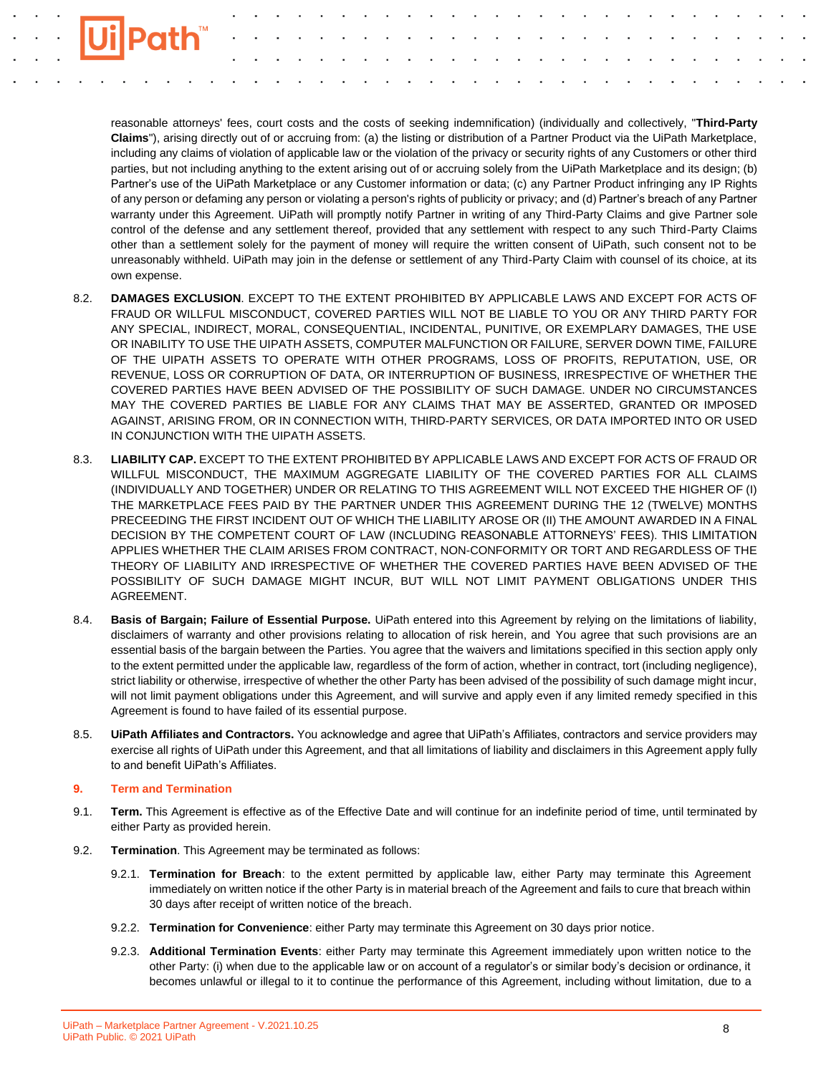

reasonable attorneys' fees, court costs and the costs of seeking indemnification) (individually and collectively, "**Third-Party Claims**"), arising directly out of or accruing from: (a) the listing or distribution of a Partner Product via the UiPath Marketplace, including any claims of violation of applicable law or the violation of the privacy or security rights of any Customers or other third parties, but not including anything to the extent arising out of or accruing solely from the UiPath Marketplace and its design; (b) Partner's use of the UiPath Marketplace or any Customer information or data; (c) any Partner Product infringing any IP Rights of any person or defaming any person or violating a person's rights of publicity or privacy; and (d) Partner's breach of any Partner warranty under this Agreement. UiPath will promptly notify Partner in writing of any Third-Party Claims and give Partner sole control of the defense and any settlement thereof, provided that any settlement with respect to any such Third-Party Claims other than a settlement solely for the payment of money will require the written consent of UiPath, such consent not to be unreasonably withheld. UiPath may join in the defense or settlement of any Third-Party Claim with counsel of its choice, at its own expense.

- 8.2. **DAMAGES EXCLUSION**. EXCEPT TO THE EXTENT PROHIBITED BY APPLICABLE LAWS AND EXCEPT FOR ACTS OF FRAUD OR WILLFUL MISCONDUCT, COVERED PARTIES WILL NOT BE LIABLE TO YOU OR ANY THIRD PARTY FOR ANY SPECIAL, INDIRECT, MORAL, CONSEQUENTIAL, INCIDENTAL, PUNITIVE, OR EXEMPLARY DAMAGES, THE USE OR INABILITY TO USE THE UIPATH ASSETS, COMPUTER MALFUNCTION OR FAILURE, SERVER DOWN TIME, FAILURE OF THE UIPATH ASSETS TO OPERATE WITH OTHER PROGRAMS, LOSS OF PROFITS, REPUTATION, USE, OR REVENUE, LOSS OR CORRUPTION OF DATA, OR INTERRUPTION OF BUSINESS, IRRESPECTIVE OF WHETHER THE COVERED PARTIES HAVE BEEN ADVISED OF THE POSSIBILITY OF SUCH DAMAGE. UNDER NO CIRCUMSTANCES MAY THE COVERED PARTIES BE LIABLE FOR ANY CLAIMS THAT MAY BE ASSERTED, GRANTED OR IMPOSED AGAINST, ARISING FROM, OR IN CONNECTION WITH, THIRD-PARTY SERVICES, OR DATA IMPORTED INTO OR USED IN CONJUNCTION WITH THE UIPATH ASSETS.
- 8.3. **LIABILITY CAP.** EXCEPT TO THE EXTENT PROHIBITED BY APPLICABLE LAWS AND EXCEPT FOR ACTS OF FRAUD OR WILLFUL MISCONDUCT, THE MAXIMUM AGGREGATE LIABILITY OF THE COVERED PARTIES FOR ALL CLAIMS (INDIVIDUALLY AND TOGETHER) UNDER OR RELATING TO THIS AGREEMENT WILL NOT EXCEED THE HIGHER OF (I) THE MARKETPLACE FEES PAID BY THE PARTNER UNDER THIS AGREEMENT DURING THE 12 (TWELVE) MONTHS PRECEEDING THE FIRST INCIDENT OUT OF WHICH THE LIABILITY AROSE OR (II) THE AMOUNT AWARDED IN A FINAL DECISION BY THE COMPETENT COURT OF LAW (INCLUDING REASONABLE ATTORNEYS' FEES). THIS LIMITATION APPLIES WHETHER THE CLAIM ARISES FROM CONTRACT, NON-CONFORMITY OR TORT AND REGARDLESS OF THE THEORY OF LIABILITY AND IRRESPECTIVE OF WHETHER THE COVERED PARTIES HAVE BEEN ADVISED OF THE POSSIBILITY OF SUCH DAMAGE MIGHT INCUR, BUT WILL NOT LIMIT PAYMENT OBLIGATIONS UNDER THIS AGREEMENT.
- 8.4. **Basis of Bargain; Failure of Essential Purpose.** UiPath entered into this Agreement by relying on the limitations of liability, disclaimers of warranty and other provisions relating to allocation of risk herein, and You agree that such provisions are an essential basis of the bargain between the Parties. You agree that the waivers and limitations specified in this section apply only to the extent permitted under the applicable law, regardless of the form of action, whether in contract, tort (including negligence), strict liability or otherwise, irrespective of whether the other Party has been advised of the possibility of such damage might incur, will not limit payment obligations under this Agreement, and will survive and apply even if any limited remedy specified in this Agreement is found to have failed of its essential purpose.
- 8.5. **UiPath Affiliates and Contractors.** You acknowledge and agree that UiPath's Affiliates, contractors and service providers may exercise all rights of UiPath under this Agreement, and that all limitations of liability and disclaimers in this Agreement apply fully to and benefit UiPath's Affiliates.

## **9. Term and Termination**

- 9.1. **Term.** This Agreement is effective as of the Effective Date and will continue for an indefinite period of time, until terminated by either Party as provided herein.
- 9.2. **Termination**. This Agreement may be terminated as follows:
	- 9.2.1. **Termination for Breach**: to the extent permitted by applicable law, either Party may terminate this Agreement immediately on written notice if the other Party is in material breach of the Agreement and fails to cure that breach within 30 days after receipt of written notice of the breach.
	- 9.2.2. **Termination for Convenience**: either Party may terminate this Agreement on 30 days prior notice.
	- 9.2.3. **Additional Termination Events**: either Party may terminate this Agreement immediately upon written notice to the other Party: (i) when due to the applicable law or on account of a regulator's or similar body's decision or ordinance, it becomes unlawful or illegal to it to continue the performance of this Agreement, including without limitation, due to a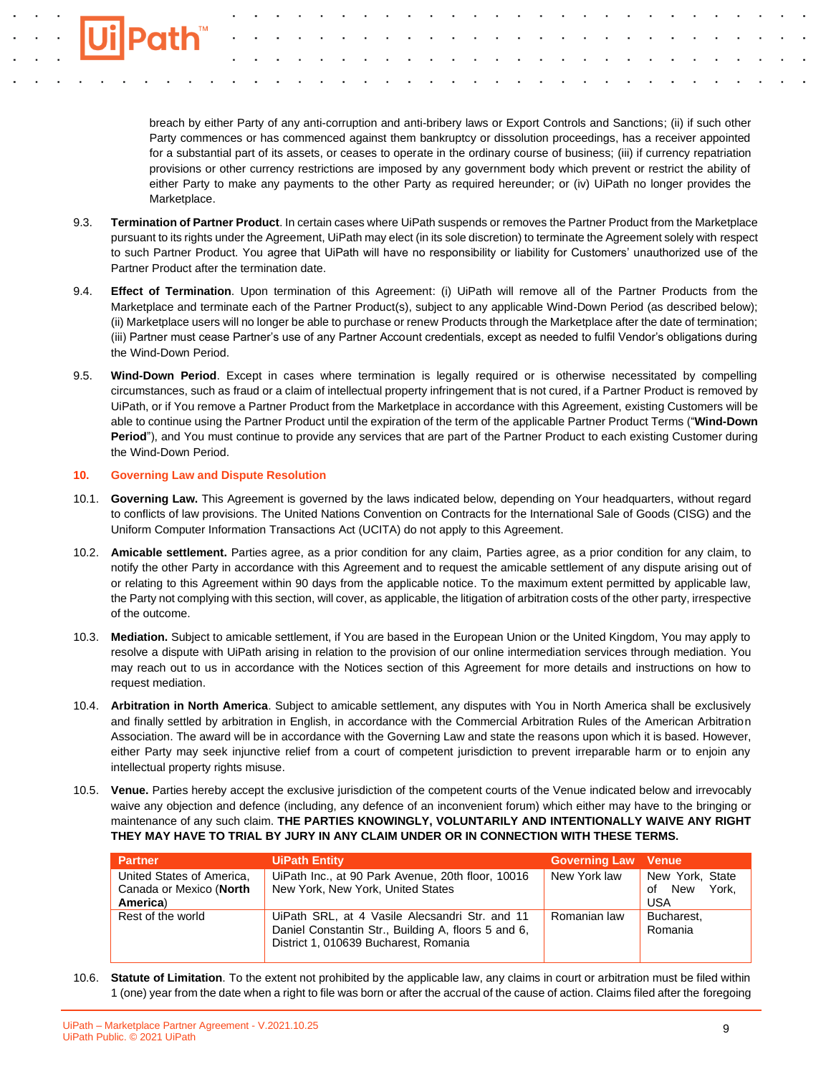breach by either Party of any anti-corruption and anti-bribery laws or Export Controls and Sanctions; (ii) if such other Party commences or has commenced against them bankruptcy or dissolution proceedings, has a receiver appointed for a substantial part of its assets, or ceases to operate in the ordinary course of business; (iii) if currency repatriation provisions or other currency restrictions are imposed by any government body which prevent or restrict the ability of either Party to make any payments to the other Party as required hereunder; or (iv) UiPath no longer provides the Marketplace.

- 9.3. **Termination of Partner Product**. In certain cases where UiPath suspends or removes the Partner Product from the Marketplace pursuant to its rights under the Agreement, UiPath may elect (in its sole discretion) to terminate the Agreement solely with respect to such Partner Product. You agree that UiPath will have no responsibility or liability for Customers' unauthorized use of the Partner Product after the termination date.
- 9.4. **Effect of Termination**. Upon termination of this Agreement: (i) UiPath will remove all of the Partner Products from the Marketplace and terminate each of the Partner Product(s), subject to any applicable Wind-Down Period (as described below); (ii) Marketplace users will no longer be able to purchase or renew Products through the Marketplace after the date of termination; (iii) Partner must cease Partner's use of any Partner Account credentials, except as needed to fulfil Vendor's obligations during the Wind-Down Period.
- 9.5. **Wind-Down Period**. Except in cases where termination is legally required or is otherwise necessitated by compelling circumstances, such as fraud or a claim of intellectual property infringement that is not cured, if a Partner Product is removed by UiPath, or if You remove a Partner Product from the Marketplace in accordance with this Agreement, existing Customers will be able to continue using the Partner Product until the expiration of the term of the applicable Partner Product Terms ("**Wind-Down Period**"), and You must continue to provide any services that are part of the Partner Product to each existing Customer during the Wind-Down Period.

### **10. Governing Law and Dispute Resolution**

- 10.1. **Governing Law.** This Agreement is governed by the laws indicated below, depending on Your headquarters, without regard to conflicts of law provisions. The United Nations Convention on Contracts for the International Sale of Goods (CISG) and the Uniform Computer Information Transactions Act (UCITA) do not apply to this Agreement.
- 10.2. **Amicable settlement.** Parties agree, as a prior condition for any claim, Parties agree, as a prior condition for any claim, to notify the other Party in accordance with this Agreement and to request the amicable settlement of any dispute arising out of or relating to this Agreement within 90 days from the applicable notice. To the maximum extent permitted by applicable law, the Party not complying with this section, will cover, as applicable, the litigation of arbitration costs of the other party, irrespective of the outcome.
- 10.3. **Mediation.** Subject to amicable settlement, if You are based in the European Union or the United Kingdom, You may apply to resolve a dispute with UiPath arising in relation to the provision of our online intermediation services through mediation. You may reach out to us in accordance with the Notices section of this Agreement for more details and instructions on how to request mediation.
- 10.4. **Arbitration in North America**. Subject to amicable settlement, any disputes with You in North America shall be exclusively and finally settled by arbitration in English, in accordance with the Commercial Arbitration Rules of the American Arbitration Association. The award will be in accordance with the Governing Law and state the reasons upon which it is based. However, either Party may seek injunctive relief from a court of competent jurisdiction to prevent irreparable harm or to enjoin any intellectual property rights misuse.
- 10.5. **Venue.** Parties hereby accept the exclusive jurisdiction of the competent courts of the Venue indicated below and irrevocably waive any objection and defence (including, any defence of an inconvenient forum) which either may have to the bringing or maintenance of any such claim. **THE PARTIES KNOWINGLY, VOLUNTARILY AND INTENTIONALLY WAIVE ANY RIGHT THEY MAY HAVE TO TRIAL BY JURY IN ANY CLAIM UNDER OR IN CONNECTION WITH THESE TERMS.**

| <b>Partner</b>                                                   | <b>UiPath Entity</b>                                                                                                                           | <b>Governing Law Venue</b> |                                           |
|------------------------------------------------------------------|------------------------------------------------------------------------------------------------------------------------------------------------|----------------------------|-------------------------------------------|
| United States of America,<br>Canada or Mexico (North<br>America) | UiPath Inc., at 90 Park Avenue, 20th floor, 10016<br>New York, New York, United States                                                         | New York law               | New York, State<br>York,<br>of New<br>USA |
| Rest of the world                                                | UiPath SRL, at 4 Vasile Alecsandri Str. and 11<br>Daniel Constantin Str., Building A, floors 5 and 6,<br>District 1, 010639 Bucharest, Romania | Romanian law               | Bucharest.<br>Romania                     |

10.6. **Statute of Limitation**. To the extent not prohibited by the applicable law, any claims in court or arbitration must be filed within 1 (one) year from the date when a right to file was born or after the accrual of the cause of action. Claims filed after the foregoing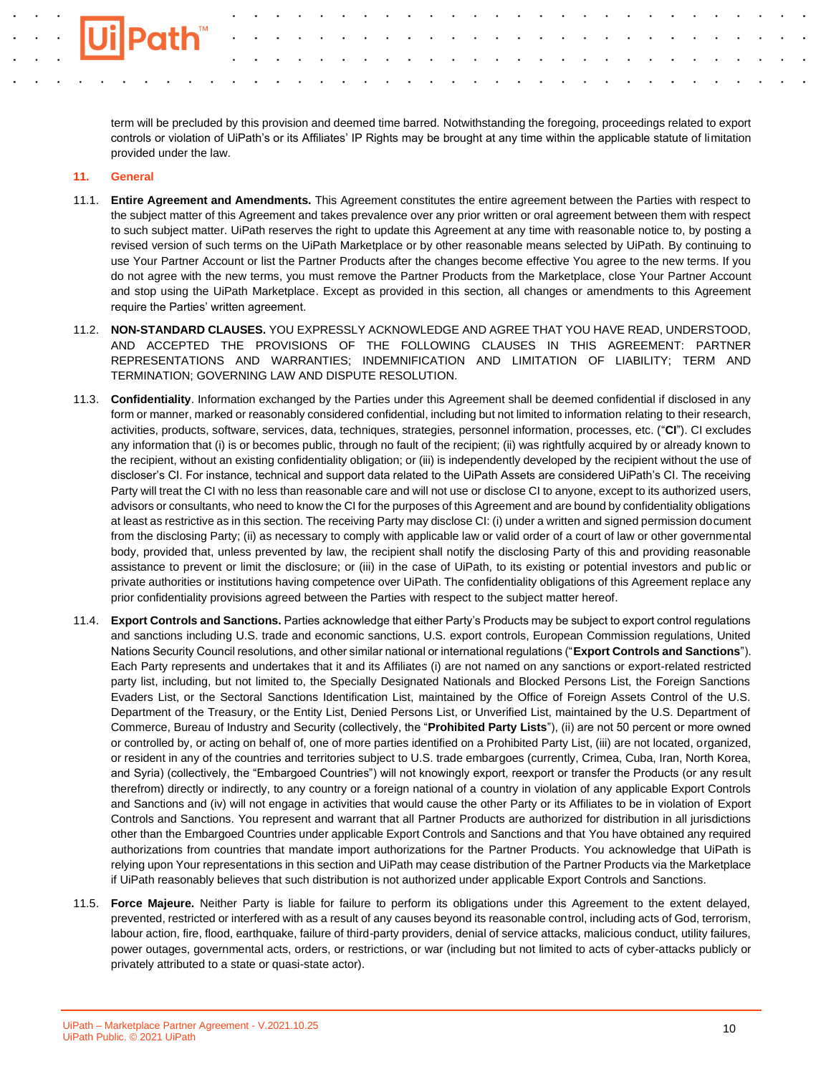term will be precluded by this provision and deemed time barred. Notwithstanding the foregoing, proceedings related to export controls or violation of UiPath's or its Affiliates' IP Rights may be brought at any time within the applicable statute of limitation provided under the law.

### **11. General**

- 11.1. **Entire Agreement and Amendments.** This Agreement constitutes the entire agreement between the Parties with respect to the subject matter of this Agreement and takes prevalence over any prior written or oral agreement between them with respect to such subject matter. UiPath reserves the right to update this Agreement at any time with reasonable notice to, by posting a revised version of such terms on the UiPath Marketplace or by other reasonable means selected by UiPath. By continuing to use Your Partner Account or list the Partner Products after the changes become effective You agree to the new terms. If you do not agree with the new terms, you must remove the Partner Products from the Marketplace, close Your Partner Account and stop using the UiPath Marketplace. Except as provided in this section, all changes or amendments to this Agreement require the Parties' written agreement.
- 11.2. **NON-STANDARD CLAUSES.** YOU EXPRESSLY ACKNOWLEDGE AND AGREE THAT YOU HAVE READ, UNDERSTOOD, AND ACCEPTED THE PROVISIONS OF THE FOLLOWING CLAUSES IN THIS AGREEMENT: PARTNER REPRESENTATIONS AND WARRANTIES; INDEMNIFICATION AND LIMITATION OF LIABILITY; TERM AND TERMINATION; GOVERNING LAW AND DISPUTE RESOLUTION.
- 11.3. **Confidentiality**. Information exchanged by the Parties under this Agreement shall be deemed confidential if disclosed in any form or manner, marked or reasonably considered confidential, including but not limited to information relating to their research, activities, products, software, services, data, techniques, strategies, personnel information, processes, etc. ("**CI**"). CI excludes any information that (i) is or becomes public, through no fault of the recipient; (ii) was rightfully acquired by or already known to the recipient, without an existing confidentiality obligation; or (iii) is independently developed by the recipient without the use of discloser's CI. For instance, technical and support data related to the UiPath Assets are considered UiPath's CI. The receiving Party will treat the CI with no less than reasonable care and will not use or disclose CI to anyone, except to its authorized users, advisors or consultants, who need to know the CI for the purposes of this Agreement and are bound by confidentiality obligations at least as restrictive as in this section. The receiving Party may disclose CI: (i) under a written and signed permission document from the disclosing Party; (ii) as necessary to comply with applicable law or valid order of a court of law or other governmental body, provided that, unless prevented by law, the recipient shall notify the disclosing Party of this and providing reasonable assistance to prevent or limit the disclosure; or (iii) in the case of UiPath, to its existing or potential investors and public or private authorities or institutions having competence over UiPath. The confidentiality obligations of this Agreement replace any prior confidentiality provisions agreed between the Parties with respect to the subject matter hereof.
- 11.4. **Export Controls and Sanctions.** Parties acknowledge that either Party's Products may be subject to export control regulations and sanctions including U.S. trade and economic sanctions, U.S. export controls, European Commission regulations, United Nations Security Council resolutions, and other similar national or international regulations ("**Export Controls and Sanctions**"). Each Party represents and undertakes that it and its Affiliates (i) are not named on any sanctions or export-related restricted party list, including, but not limited to, the Specially Designated Nationals and Blocked Persons List, the Foreign Sanctions Evaders List, or the Sectoral Sanctions Identification List, maintained by the Office of Foreign Assets Control of the U.S. Department of the Treasury, or the Entity List, Denied Persons List, or Unverified List, maintained by the U.S. Department of Commerce, Bureau of Industry and Security (collectively, the "**Prohibited Party Lists**"), (ii) are not 50 percent or more owned or controlled by, or acting on behalf of, one of more parties identified on a Prohibited Party List, (iii) are not located, organized, or resident in any of the countries and territories subject to U.S. trade embargoes (currently, Crimea, Cuba, Iran, North Korea, and Syria) (collectively, the "Embargoed Countries") will not knowingly export, reexport or transfer the Products (or any result therefrom) directly or indirectly, to any country or a foreign national of a country in violation of any applicable Export Controls and Sanctions and (iv) will not engage in activities that would cause the other Party or its Affiliates to be in violation of Export Controls and Sanctions. You represent and warrant that all Partner Products are authorized for distribution in all jurisdictions other than the Embargoed Countries under applicable Export Controls and Sanctions and that You have obtained any required authorizations from countries that mandate import authorizations for the Partner Products. You acknowledge that UiPath is relying upon Your representations in this section and UiPath may cease distribution of the Partner Products via the Marketplace if UiPath reasonably believes that such distribution is not authorized under applicable Export Controls and Sanctions.
- 11.5. **Force Majeure.** Neither Party is liable for failure to perform its obligations under this Agreement to the extent delayed, prevented, restricted or interfered with as a result of any causes beyond its reasonable control, including acts of God, terrorism, labour action, fire, flood, earthquake, failure of third-party providers, denial of service attacks, malicious conduct, utility failures, power outages, governmental acts, orders, or restrictions, or war (including but not limited to acts of cyber-attacks publicly or privately attributed to a state or quasi-state actor).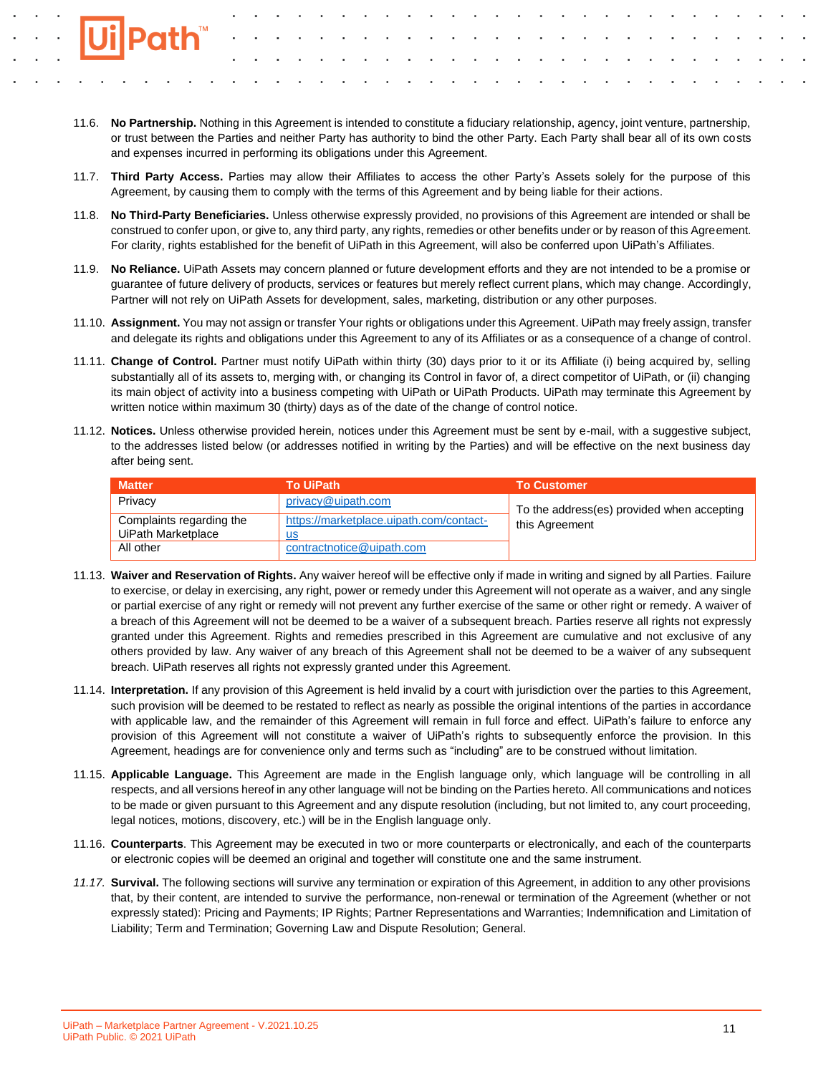- 11.6. **No Partnership.** Nothing in this Agreement is intended to constitute a fiduciary relationship, agency, joint venture, partnership, or trust between the Parties and neither Party has authority to bind the other Party. Each Party shall bear all of its own costs and expenses incurred in performing its obligations under this Agreement.
- 11.7. **Third Party Access.** Parties may allow their Affiliates to access the other Party's Assets solely for the purpose of this Agreement, by causing them to comply with the terms of this Agreement and by being liable for their actions.
- 11.8. **No Third-Party Beneficiaries.** Unless otherwise expressly provided, no provisions of this Agreement are intended or shall be construed to confer upon, or give to, any third party, any rights, remedies or other benefits under or by reason of this Agreement. For clarity, rights established for the benefit of UiPath in this Agreement, will also be conferred upon UiPath's Affiliates.
- 11.9. **No Reliance.** UiPath Assets may concern planned or future development efforts and they are not intended to be a promise or guarantee of future delivery of products, services or features but merely reflect current plans, which may change. Accordingly, Partner will not rely on UiPath Assets for development, sales, marketing, distribution or any other purposes.
- 11.10. **Assignment.** You may not assign or transfer Your rights or obligations under this Agreement. UiPath may freely assign, transfer and delegate its rights and obligations under this Agreement to any of its Affiliates or as a consequence of a change of control.
- 11.11. **Change of Control.** Partner must notify UiPath within thirty (30) days prior to it or its Affiliate (i) being acquired by, selling substantially all of its assets to, merging with, or changing its Control in favor of, a direct competitor of UiPath, or (ii) changing its main object of activity into a business competing with UiPath or UiPath Products. UiPath may terminate this Agreement by written notice within maximum 30 (thirty) days as of the date of the change of control notice.
- 11.12. **Notices.** Unless otherwise provided herein, notices under this Agreement must be sent by e-mail, with a suggestive subject, to the addresses listed below (or addresses notified in writing by the Parties) and will be effective on the next business day after being sent.

| <b>Matter</b>            | <b>To UiPath</b>                        | <b>To Customer</b>                         |
|--------------------------|-----------------------------------------|--------------------------------------------|
| Privacy                  | privacy@uipath.com                      | To the address(es) provided when accepting |
| Complaints regarding the | https://marketplace.uipath.com/contact- | this Agreement                             |
| UiPath Marketplace       | us                                      |                                            |
| All other                | contractnotice@uipath.com               |                                            |

- 11.13. **Waiver and Reservation of Rights.** Any waiver hereof will be effective only if made in writing and signed by all Parties. Failure to exercise, or delay in exercising, any right, power or remedy under this Agreement will not operate as a waiver, and any single or partial exercise of any right or remedy will not prevent any further exercise of the same or other right or remedy. A waiver of a breach of this Agreement will not be deemed to be a waiver of a subsequent breach. Parties reserve all rights not expressly granted under this Agreement. Rights and remedies prescribed in this Agreement are cumulative and not exclusive of any others provided by law. Any waiver of any breach of this Agreement shall not be deemed to be a waiver of any subsequent breach. UiPath reserves all rights not expressly granted under this Agreement.
- 11.14. **Interpretation.** If any provision of this Agreement is held invalid by a court with jurisdiction over the parties to this Agreement, such provision will be deemed to be restated to reflect as nearly as possible the original intentions of the parties in accordance with applicable law, and the remainder of this Agreement will remain in full force and effect. UiPath's failure to enforce any provision of this Agreement will not constitute a waiver of UiPath's rights to subsequently enforce the provision. In this Agreement, headings are for convenience only and terms such as "including" are to be construed without limitation.
- 11.15. **Applicable Language.** This Agreement are made in the English language only, which language will be controlling in all respects, and all versions hereof in any other language will not be binding on the Parties hereto. All communications and notices to be made or given pursuant to this Agreement and any dispute resolution (including, but not limited to, any court proceeding, legal notices, motions, discovery, etc.) will be in the English language only.
- 11.16. **Counterparts**. This Agreement may be executed in two or more counterparts or electronically, and each of the counterparts or electronic copies will be deemed an original and together will constitute one and the same instrument.
- *11.17.* **Survival.** The following sections will survive any termination or expiration of this Agreement, in addition to any other provisions that, by their content, are intended to survive the performance, non-renewal or termination of the Agreement (whether or not expressly stated): Pricing and Payments; IP Rights; Partner Representations and Warranties; Indemnification and Limitation of Liability; Term and Termination; Governing Law and Dispute Resolution; General.